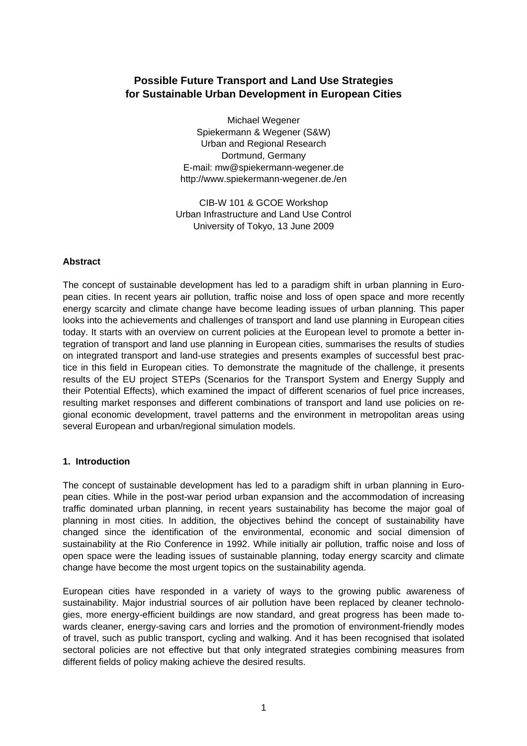# **Possible Future Transport and Land Use Strategies for Sustainable Urban Development in European Cities**

Michael Wegener Spiekermann & Wegener (S&W) Urban and Regional Research Dortmund, Germany E-mail: mw@spiekermann-wegener.de http://www.spiekermann-wegener.de./en

CIB-W 101 & GCOE Workshop Urban Infrastructure and Land Use Control University of Tokyo, 13 June 2009

# **Abstract**

The concept of sustainable development has led to a paradigm shift in urban planning in European cities. In recent years air pollution, traffic noise and loss of open space and more recently energy scarcity and climate change have become leading issues of urban planning. This paper looks into the achievements and challenges of transport and land use planning in European cities today. It starts with an overview on current policies at the European level to promote a better integration of transport and land use planning in European cities, summarises the results of studies on integrated transport and land-use strategies and presents examples of successful best practice in this field in European cities. To demonstrate the magnitude of the challenge, it presents results of the EU project STEPs (Scenarios for the Transport System and Energy Supply and their Potential Effects), which examined the impact of different scenarios of fuel price increases, resulting market responses and different combinations of transport and land use policies on regional economic development, travel patterns and the environment in metropolitan areas using several European and urban/regional simulation models.

# **1. Introduction**

The concept of sustainable development has led to a paradigm shift in urban planning in European cities. While in the post-war period urban expansion and the accommodation of increasing traffic dominated urban planning, in recent years sustainability has become the major goal of planning in most cities. In addition, the objectives behind the concept of sustainability have changed since the identification of the environmental, economic and social dimension of sustainability at the Rio Conference in 1992. While initially air pollution, traffic noise and loss of open space were the leading issues of sustainable planning, today energy scarcity and climate change have become the most urgent topics on the sustainability agenda.

European cities have responded in a variety of ways to the growing public awareness of sustainability. Major industrial sources of air pollution have been replaced by cleaner technologies, more energy-efficient buildings are now standard, and great progress has been made towards cleaner, energy-saving cars and lorries and the promotion of environment-friendly modes of travel, such as public transport, cycling and walking. And it has been recognised that isolated sectoral policies are not effective but that only integrated strategies combining measures from different fields of policy making achieve the desired results.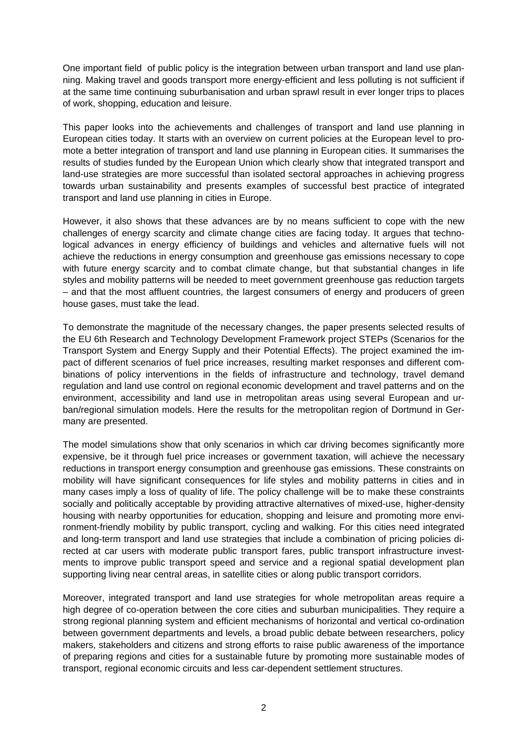One important field of public policy is the integration between urban transport and land use planning. Making travel and goods transport more energy-efficient and less polluting is not sufficient if at the same time continuing suburbanisation and urban sprawl result in ever longer trips to places of work, shopping, education and leisure.

This paper looks into the achievements and challenges of transport and land use planning in European cities today. It starts with an overview on current policies at the European level to promote a better integration of transport and land use planning in European cities. It summarises the results of studies funded by the European Union which clearly show that integrated transport and land-use strategies are more successful than isolated sectoral approaches in achieving progress towards urban sustainability and presents examples of successful best practice of integrated transport and land use planning in cities in Europe.

However, it also shows that these advances are by no means sufficient to cope with the new challenges of energy scarcity and climate change cities are facing today. It argues that technological advances in energy efficiency of buildings and vehicles and alternative fuels will not achieve the reductions in energy consumption and greenhouse gas emissions necessary to cope with future energy scarcity and to combat climate change, but that substantial changes in life styles and mobility patterns will be needed to meet government greenhouse gas reduction targets – and that the most affluent countries, the largest consumers of energy and producers of green house gases, must take the lead.

To demonstrate the magnitude of the necessary changes, the paper presents selected results of the EU 6th Research and Technology Development Framework project STEPs (Scenarios for the Transport System and Energy Supply and their Potential Effects). The project examined the impact of different scenarios of fuel price increases, resulting market responses and different combinations of policy interventions in the fields of infrastructure and technology, travel demand regulation and land use control on regional economic development and travel patterns and on the environment, accessibility and land use in metropolitan areas using several European and urban/regional simulation models. Here the results for the metropolitan region of Dortmund in Germany are presented.

The model simulations show that only scenarios in which car driving becomes significantly more expensive, be it through fuel price increases or government taxation, will achieve the necessary reductions in transport energy consumption and greenhouse gas emissions. These constraints on mobility will have significant consequences for life styles and mobility patterns in cities and in many cases imply a loss of quality of life. The policy challenge will be to make these constraints socially and politically acceptable by providing attractive alternatives of mixed-use, higher-density housing with nearby opportunities for education, shopping and leisure and promoting more environment-friendly mobility by public transport, cycling and walking. For this cities need integrated and long-term transport and land use strategies that include a combination of pricing policies directed at car users with moderate public transport fares, public transport infrastructure investments to improve public transport speed and service and a regional spatial development plan supporting living near central areas, in satellite cities or along public transport corridors.

Moreover, integrated transport and land use strategies for whole metropolitan areas require a high degree of co-operation between the core cities and suburban municipalities. They require a strong regional planning system and efficient mechanisms of horizontal and vertical co-ordination between government departments and levels, a broad public debate between researchers, policy makers, stakeholders and citizens and strong efforts to raise public awareness of the importance of preparing regions and cities for a sustainable future by promoting more sustainable modes of transport, regional economic circuits and less car-dependent settlement structures.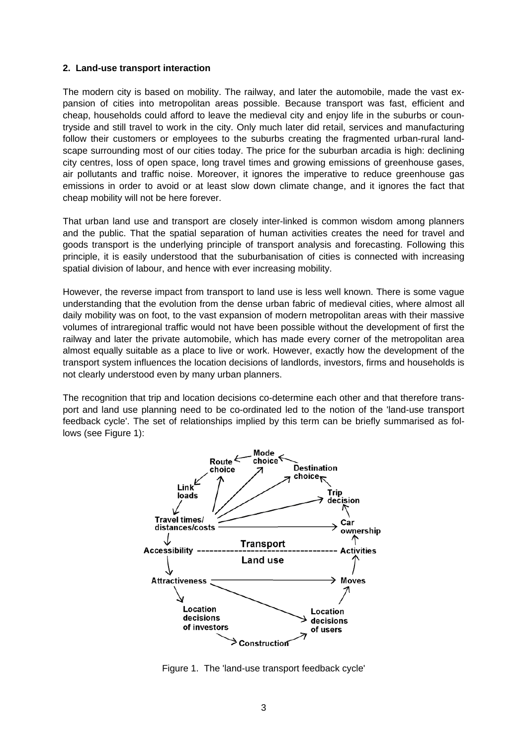#### **2. Land-use transport interaction**

The modern city is based on mobility. The railway, and later the automobile, made the vast expansion of cities into metropolitan areas possible. Because transport was fast, efficient and cheap, households could afford to leave the medieval city and enjoy life in the suburbs or countryside and still travel to work in the city. Only much later did retail, services and manufacturing follow their customers or employees to the suburbs creating the fragmented urban-rural landscape surrounding most of our cities today. The price for the suburban arcadia is high: declining city centres, loss of open space, long travel times and growing emissions of greenhouse gases, air pollutants and traffic noise. Moreover, it ignores the imperative to reduce greenhouse gas emissions in order to avoid or at least slow down climate change, and it ignores the fact that cheap mobility will not be here forever.

That urban land use and transport are closely inter-linked is common wisdom among planners and the public. That the spatial separation of human activities creates the need for travel and goods transport is the underlying principle of transport analysis and forecasting. Following this principle, it is easily understood that the suburbanisation of cities is connected with increasing spatial division of labour, and hence with ever increasing mobility.

However, the reverse impact from transport to land use is less well known. There is some vague understanding that the evolution from the dense urban fabric of medieval cities, where almost all daily mobility was on foot, to the vast expansion of modern metropolitan areas with their massive volumes of intraregional traffic would not have been possible without the development of first the railway and later the private automobile, which has made every corner of the metropolitan area almost equally suitable as a place to live or work. However, exactly how the development of the transport system influences the location decisions of landlords, investors, firms and households is not clearly understood even by many urban planners.

The recognition that trip and location decisions co-determine each other and that therefore transport and land use planning need to be co-ordinated led to the notion of the 'land-use transport feedback cycle'. The set of relationships implied by this term can be briefly summarised as follows (see Figure 1):



Figure 1. The 'land-use transport feedback cycle'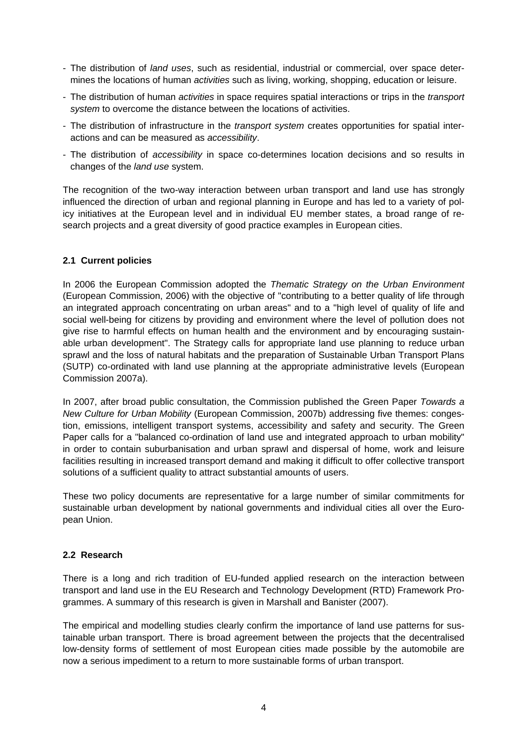- The distribution of *land uses*, such as residential, industrial or commercial, over space determines the locations of human *activities* such as living, working, shopping, education or leisure.
- The distribution of human *activities* in space requires spatial interactions or trips in the *transport system* to overcome the distance between the locations of activities.
- The distribution of infrastructure in the *transport system* creates opportunities for spatial interactions and can be measured as *accessibility*.
- The distribution of *accessibility* in space co-determines location decisions and so results in changes of the *land use* system.

The recognition of the two-way interaction between urban transport and land use has strongly influenced the direction of urban and regional planning in Europe and has led to a variety of policy initiatives at the European level and in individual EU member states, a broad range of research projects and a great diversity of good practice examples in European cities.

### **2.1 Current policies**

In 2006 the European Commission adopted the *Thematic Strategy on the Urban Environment* (European Commission, 2006) with the objective of "contributing to a better quality of life through an integrated approach concentrating on urban areas" and to a "high level of quality of life and social well-being for citizens by providing and environment where the level of pollution does not give rise to harmful effects on human health and the environment and by encouraging sustainable urban development". The Strategy calls for appropriate land use planning to reduce urban sprawl and the loss of natural habitats and the preparation of Sustainable Urban Transport Plans (SUTP) co-ordinated with land use planning at the appropriate administrative levels (European Commission 2007a).

In 2007, after broad public consultation, the Commission published the Green Paper *Towards a New Culture for Urban Mobility* (European Commission, 2007b) addressing five themes: congestion, emissions, intelligent transport systems, accessibility and safety and security. The Green Paper calls for a "balanced co-ordination of land use and integrated approach to urban mobility" in order to contain suburbanisation and urban sprawl and dispersal of home, work and leisure facilities resulting in increased transport demand and making it difficult to offer collective transport solutions of a sufficient quality to attract substantial amounts of users.

These two policy documents are representative for a large number of similar commitments for sustainable urban development by national governments and individual cities all over the European Union.

# **2.2 Research**

There is a long and rich tradition of EU-funded applied research on the interaction between transport and land use in the EU Research and Technology Development (RTD) Framework Programmes. A summary of this research is given in Marshall and Banister (2007).

The empirical and modelling studies clearly confirm the importance of land use patterns for sustainable urban transport. There is broad agreement between the projects that the decentralised low-density forms of settlement of most European cities made possible by the automobile are now a serious impediment to a return to more sustainable forms of urban transport.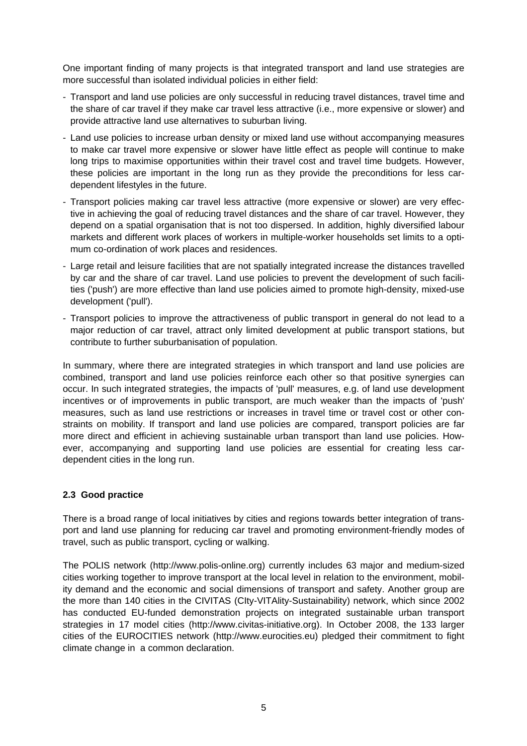One important finding of many projects is that integrated transport and land use strategies are more successful than isolated individual policies in either field:

- Transport and land use policies are only successful in reducing travel distances, travel time and the share of car travel if they make car travel less attractive (i.e., more expensive or slower) and provide attractive land use alternatives to suburban living.
- Land use policies to increase urban density or mixed land use without accompanying measures to make car travel more expensive or slower have little effect as people will continue to make long trips to maximise opportunities within their travel cost and travel time budgets. However, these policies are important in the long run as they provide the preconditions for less cardependent lifestyles in the future.
- Transport policies making car travel less attractive (more expensive or slower) are very effective in achieving the goal of reducing travel distances and the share of car travel. However, they depend on a spatial organisation that is not too dispersed. In addition, highly diversified labour markets and different work places of workers in multiple-worker households set limits to a optimum co-ordination of work places and residences.
- Large retail and leisure facilities that are not spatially integrated increase the distances travelled by car and the share of car travel. Land use policies to prevent the development of such facilities ('push') are more effective than land use policies aimed to promote high-density, mixed-use development ('pull').
- Transport policies to improve the attractiveness of public transport in general do not lead to a major reduction of car travel, attract only limited development at public transport stations, but contribute to further suburbanisation of population.

In summary, where there are integrated strategies in which transport and land use policies are combined, transport and land use policies reinforce each other so that positive synergies can occur. In such integrated strategies, the impacts of 'pull' measures, e.g. of land use development incentives or of improvements in public transport, are much weaker than the impacts of 'push' measures, such as land use restrictions or increases in travel time or travel cost or other constraints on mobility. If transport and land use policies are compared, transport policies are far more direct and efficient in achieving sustainable urban transport than land use policies. However, accompanying and supporting land use policies are essential for creating less cardependent cities in the long run.

# **2.3 Good practice**

There is a broad range of local initiatives by cities and regions towards better integration of transport and land use planning for reducing car travel and promoting environment-friendly modes of travel, such as public transport, cycling or walking.

The POLIS network (http://www.polis-online.org) currently includes 63 major and medium-sized cities working together to improve transport at the local level in relation to the environment, mobility demand and the economic and social dimensions of transport and safety. Another group are the more than 140 cities in the CIVITAS (CIty-VITAlity-Sustainability) network, which since 2002 has conducted EU-funded demonstration projects on integrated sustainable urban transport strategies in 17 model cities (http://www.civitas-initiative.org). In October 2008, the 133 larger cities of the EUROCITIES network (http://www.eurocities.eu) pledged their commitment to fight climate change in a common declaration.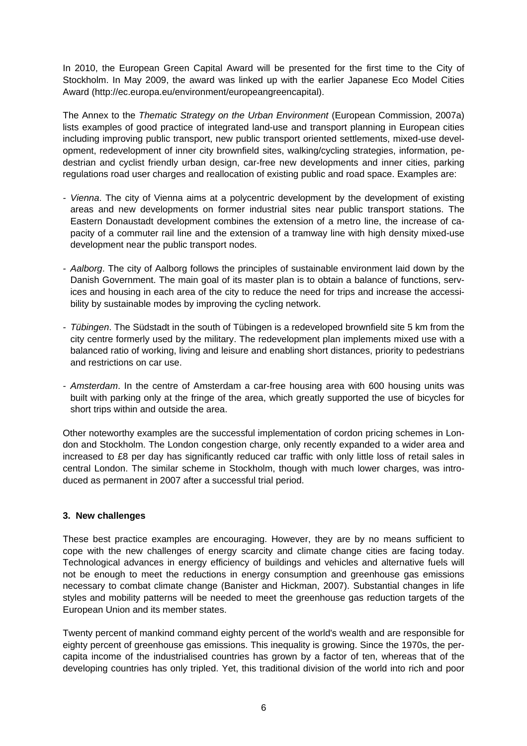In 2010, the European Green Capital Award will be presented for the first time to the City of Stockholm. In May 2009, the award was linked up with the earlier Japanese Eco Model Cities Award (http://ec.europa.eu/environment/europeangreencapital).

The Annex to the *Thematic Strategy on the Urban Environment* (European Commission, 2007a) lists examples of good practice of integrated land-use and transport planning in European cities including improving public transport, new public transport oriented settlements, mixed-use development, redevelopment of inner city brownfield sites, walking/cycling strategies, information, pedestrian and cyclist friendly urban design, car-free new developments and inner cities, parking regulations road user charges and reallocation of existing public and road space. Examples are:

- *Vienna*. The city of Vienna aims at a polycentric development by the development of existing areas and new developments on former industrial sites near public transport stations. The Eastern Donaustadt development combines the extension of a metro line, the increase of capacity of a commuter rail line and the extension of a tramway line with high density mixed-use development near the public transport nodes.
- *Aalborg*. The city of Aalborg follows the principles of sustainable environment laid down by the Danish Government. The main goal of its master plan is to obtain a balance of functions, services and housing in each area of the city to reduce the need for trips and increase the accessibility by sustainable modes by improving the cycling network.
- *Tübingen*. The Südstadt in the south of Tübingen is a redeveloped brownfield site 5 km from the city centre formerly used by the military. The redevelopment plan implements mixed use with a balanced ratio of working, living and leisure and enabling short distances, priority to pedestrians and restrictions on car use.
- *Amsterdam*. In the centre of Amsterdam a car-free housing area with 600 housing units was built with parking only at the fringe of the area, which greatly supported the use of bicycles for short trips within and outside the area.

Other noteworthy examples are the successful implementation of cordon pricing schemes in London and Stockholm. The London congestion charge, only recently expanded to a wider area and increased to £8 per day has significantly reduced car traffic with only little loss of retail sales in central London. The similar scheme in Stockholm, though with much lower charges, was introduced as permanent in 2007 after a successful trial period.

# **3. New challenges**

These best practice examples are encouraging. However, they are by no means sufficient to cope with the new challenges of energy scarcity and climate change cities are facing today. Technological advances in energy efficiency of buildings and vehicles and alternative fuels will not be enough to meet the reductions in energy consumption and greenhouse gas emissions necessary to combat climate change (Banister and Hickman, 2007). Substantial changes in life styles and mobility patterns will be needed to meet the greenhouse gas reduction targets of the European Union and its member states.

Twenty percent of mankind command eighty percent of the world's wealth and are responsible for eighty percent of greenhouse gas emissions. This inequality is growing. Since the 1970s, the percapita income of the industrialised countries has grown by a factor of ten, whereas that of the developing countries has only tripled. Yet, this traditional division of the world into rich and poor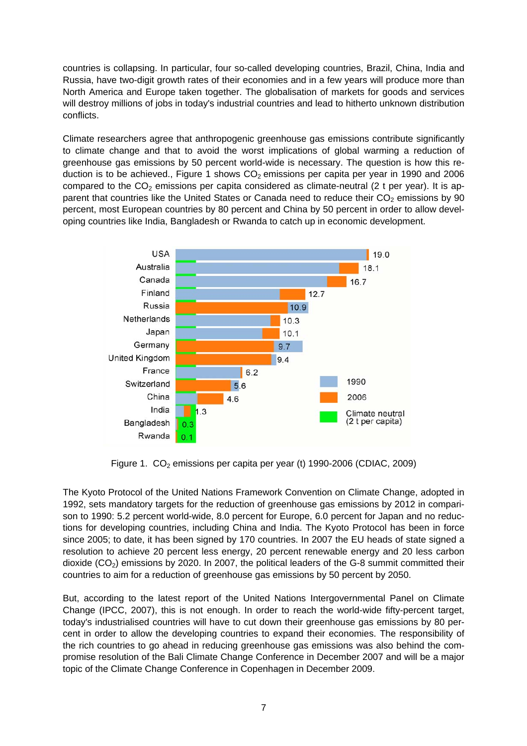countries is collapsing. In particular, four so-called developing countries, Brazil, China, India and Russia, have two-digit growth rates of their economies and in a few years will produce more than North America and Europe taken together. The globalisation of markets for goods and services will destroy millions of jobs in today's industrial countries and lead to hitherto unknown distribution conflicts.

Climate researchers agree that anthropogenic greenhouse gas emissions contribute significantly to climate change and that to avoid the worst implications of global warming a reduction of greenhouse gas emissions by 50 percent world-wide is necessary. The question is how this reduction is to be achieved., Figure 1 shows  $CO<sub>2</sub>$  emissions per capita per year in 1990 and 2006 compared to the  $CO<sub>2</sub>$  emissions per capita considered as climate-neutral (2 t per year). It is apparent that countries like the United States or Canada need to reduce their  $CO<sub>2</sub>$  emissions by 90 percent, most European countries by 80 percent and China by 50 percent in order to allow developing countries like India, Bangladesh or Rwanda to catch up in economic development.



Figure 1.  $CO<sub>2</sub>$  emissions per capita per year (t) 1990-2006 (CDIAC, 2009)

The Kyoto Protocol of the United Nations Framework Convention on Climate Change, adopted in 1992, sets mandatory targets for the reduction of greenhouse gas emissions by 2012 in comparison to 1990: 5.2 percent world-wide, 8.0 percent for Europe, 6.0 percent for Japan and no reductions for developing countries, including China and India. The Kyoto Protocol has been in force since 2005; to date, it has been signed by 170 countries. In 2007 the EU heads of state signed a resolution to achieve 20 percent less energy, 20 percent renewable energy and 20 less carbon dioxide  $(CO<sub>2</sub>)$  emissions by 2020. In 2007, the political leaders of the G-8 summit committed their countries to aim for a reduction of greenhouse gas emissions by 50 percent by 2050.

But, according to the latest report of the United Nations Intergovernmental Panel on Climate Change (IPCC, 2007), this is not enough. In order to reach the world-wide fifty-percent target, today's industrialised countries will have to cut down their greenhouse gas emissions by 80 percent in order to allow the developing countries to expand their economies. The responsibility of the rich countries to go ahead in reducing greenhouse gas emissions was also behind the compromise resolution of the Bali Climate Change Conference in December 2007 and will be a major topic of the Climate Change Conference in Copenhagen in December 2009.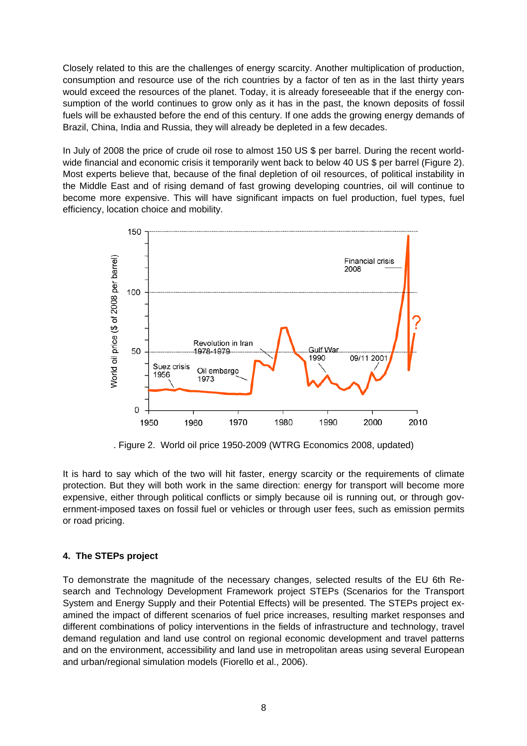Closely related to this are the challenges of energy scarcity. Another multiplication of production, consumption and resource use of the rich countries by a factor of ten as in the last thirty years would exceed the resources of the planet. Today, it is already foreseeable that if the energy consumption of the world continues to grow only as it has in the past, the known deposits of fossil fuels will be exhausted before the end of this century. If one adds the growing energy demands of Brazil, China, India and Russia, they will already be depleted in a few decades.

In July of 2008 the price of crude oil rose to almost 150 US \$ per barrel. During the recent worldwide financial and economic crisis it temporarily went back to below 40 US \$ per barrel (Figure 2). Most experts believe that, because of the final depletion of oil resources, of political instability in the Middle East and of rising demand of fast growing developing countries, oil will continue to become more expensive. This will have significant impacts on fuel production, fuel types, fuel efficiency, location choice and mobility.



. Figure 2. World oil price 1950-2009 (WTRG Economics 2008, updated)

It is hard to say which of the two will hit faster, energy scarcity or the requirements of climate protection. But they will both work in the same direction: energy for transport will become more expensive, either through political conflicts or simply because oil is running out, or through government-imposed taxes on fossil fuel or vehicles or through user fees, such as emission permits or road pricing.

# **4. The STEPs project**

To demonstrate the magnitude of the necessary changes, selected results of the EU 6th Research and Technology Development Framework project STEPs (Scenarios for the Transport System and Energy Supply and their Potential Effects) will be presented. The STEPs project examined the impact of different scenarios of fuel price increases, resulting market responses and different combinations of policy interventions in the fields of infrastructure and technology, travel demand regulation and land use control on regional economic development and travel patterns and on the environment, accessibility and land use in metropolitan areas using several European and urban/regional simulation models (Fiorello et al., 2006).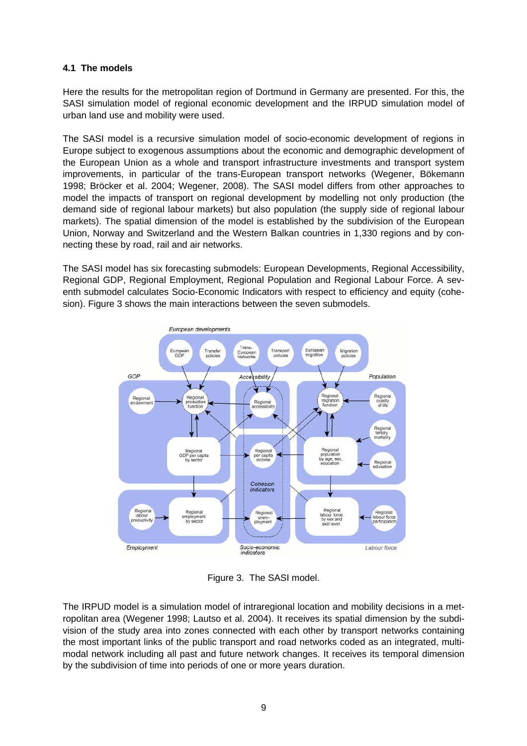### **4.1 The models**

Here the results for the metropolitan region of Dortmund in Germany are presented. For this, the SASI simulation model of regional economic development and the IRPUD simulation model of urban land use and mobility were used.

The SASI model is a recursive simulation model of socio-economic development of regions in Europe subject to exogenous assumptions about the economic and demographic development of the European Union as a whole and transport infrastructure investments and transport system improvements, in particular of the trans-European transport networks (Wegener, Bökemann 1998; Bröcker et al. 2004; Wegener, 2008). The SASI model differs from other approaches to model the impacts of transport on regional development by modelling not only production (the demand side of regional labour markets) but also population (the supply side of regional labour markets). The spatial dimension of the model is established by the subdivision of the European Union, Norway and Switzerland and the Western Balkan countries in 1,330 regions and by connecting these by road, rail and air networks.

The SASI model has six forecasting submodels: European Developments, Regional Accessibility, Regional GDP, Regional Employment, Regional Population and Regional Labour Force. A seventh submodel calculates Socio-Economic Indicators with respect to efficiency and equity (cohesion). Figure 3 shows the main interactions between the seven submodels.



Figure 3. The SASI model.

The IRPUD model is a simulation model of intraregional location and mobility decisions in a metropolitan area (Wegener 1998; Lautso et al. 2004). It receives its spatial dimension by the subdivision of the study area into zones connected with each other by transport networks containing the most important links of the public transport and road networks coded as an integrated, multimodal network including all past and future network changes. It receives its temporal dimension by the subdivision of time into periods of one or more years duration.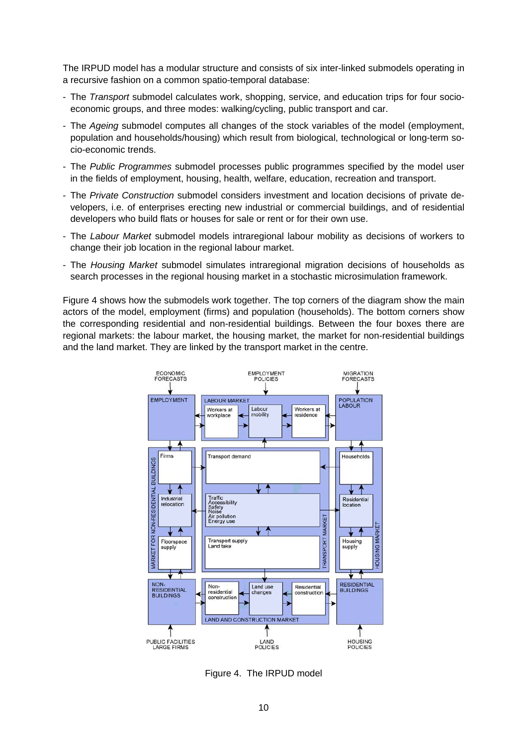The IRPUD model has a modular structure and consists of six inter-linked submodels operating in a recursive fashion on a common spatio-temporal database:

- The *Transport* submodel calculates work, shopping, service, and education trips for four socioeconomic groups, and three modes: walking/cycling, public transport and car.
- The *Ageing* submodel computes all changes of the stock variables of the model (employment, population and households/housing) which result from biological, technological or long-term socio-economic trends.
- The *Public Programmes* submodel processes public programmes specified by the model user in the fields of employment, housing, health, welfare, education, recreation and transport.
- The *Private Construction* submodel considers investment and location decisions of private developers, i.e. of enterprises erecting new industrial or commercial buildings, and of residential developers who build flats or houses for sale or rent or for their own use.
- The *Labour Market* submodel models intraregional labour mobility as decisions of workers to change their job location in the regional labour market.
- The *Housing Market* submodel simulates intraregional migration decisions of households as search processes in the regional housing market in a stochastic microsimulation framework.

Figure 4 shows how the submodels work together. The top corners of the diagram show the main actors of the model, employment (firms) and population (households). The bottom corners show the corresponding residential and non-residential buildings. Between the four boxes there are regional markets: the labour market, the housing market, the market for non-residential buildings and the land market. They are linked by the transport market in the centre.



Figure 4. The IRPUD model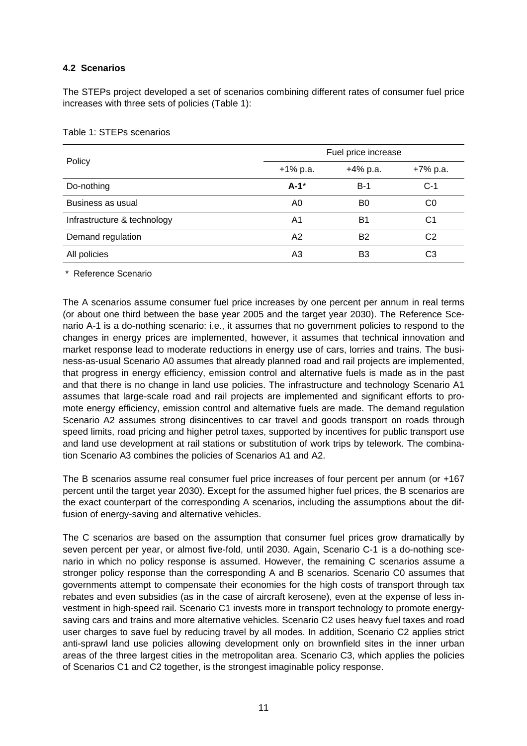# **4.2 Scenarios**

The STEPs project developed a set of scenarios combining different rates of consumer fuel price increases with three sets of policies (Table 1):

|                             | Fuel price increase |                |                |  |  |  |
|-----------------------------|---------------------|----------------|----------------|--|--|--|
| Policy                      | $+1\%$ p.a.         | $+4\%$ p.a.    | +7% p.a.       |  |  |  |
| Do-nothing                  | $A-1$ *             | $B-1$          | $C-1$          |  |  |  |
| Business as usual           | A0                  | B <sub>0</sub> | C <sub>0</sub> |  |  |  |
| Infrastructure & technology | A1                  | B1             | C1             |  |  |  |
| Demand regulation           | A2                  | B <sub>2</sub> | C2             |  |  |  |
| All policies                | A3                  | B3             | CЗ             |  |  |  |

Table 1: STEPs scenarios

\* Reference Scenario

The A scenarios assume consumer fuel price increases by one percent per annum in real terms (or about one third between the base year 2005 and the target year 2030). The Reference Scenario A-1 is a do-nothing scenario: i.e., it assumes that no government policies to respond to the changes in energy prices are implemented, however, it assumes that technical innovation and market response lead to moderate reductions in energy use of cars, lorries and trains. The business-as-usual Scenario A0 assumes that already planned road and rail projects are implemented, that progress in energy efficiency, emission control and alternative fuels is made as in the past and that there is no change in land use policies. The infrastructure and technology Scenario A1 assumes that large-scale road and rail projects are implemented and significant efforts to promote energy efficiency, emission control and alternative fuels are made. The demand regulation Scenario A2 assumes strong disincentives to car travel and goods transport on roads through speed limits, road pricing and higher petrol taxes, supported by incentives for public transport use and land use development at rail stations or substitution of work trips by telework. The combination Scenario A3 combines the policies of Scenarios A1 and A2.

The B scenarios assume real consumer fuel price increases of four percent per annum (or +167 percent until the target year 2030). Except for the assumed higher fuel prices, the B scenarios are the exact counterpart of the corresponding A scenarios, including the assumptions about the diffusion of energy-saving and alternative vehicles.

The C scenarios are based on the assumption that consumer fuel prices grow dramatically by seven percent per year, or almost five-fold, until 2030. Again, Scenario C-1 is a do-nothing scenario in which no policy response is assumed. However, the remaining C scenarios assume a stronger policy response than the corresponding A and B scenarios. Scenario C0 assumes that governments attempt to compensate their economies for the high costs of transport through tax rebates and even subsidies (as in the case of aircraft kerosene), even at the expense of less investment in high-speed rail. Scenario C1 invests more in transport technology to promote energysaving cars and trains and more alternative vehicles. Scenario C2 uses heavy fuel taxes and road user charges to save fuel by reducing travel by all modes. In addition, Scenario C2 applies strict anti-sprawl land use policies allowing development only on brownfield sites in the inner urban areas of the three largest cities in the metropolitan area. Scenario C3, which applies the policies of Scenarios C1 and C2 together, is the strongest imaginable policy response.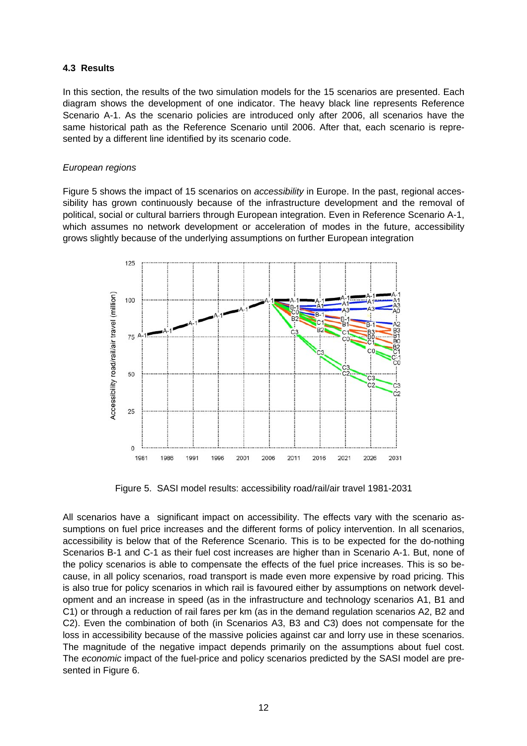#### **4.3 Results**

In this section, the results of the two simulation models for the 15 scenarios are presented. Each diagram shows the development of one indicator. The heavy black line represents Reference Scenario A-1. As the scenario policies are introduced only after 2006, all scenarios have the same historical path as the Reference Scenario until 2006. After that, each scenario is represented by a different line identified by its scenario code.

#### *European regions*

Figure 5 shows the impact of 15 scenarios on *accessibility* in Europe. In the past, regional accessibility has grown continuously because of the infrastructure development and the removal of political, social or cultural barriers through European integration. Even in Reference Scenario A-1, which assumes no network development or acceleration of modes in the future, accessibility grows slightly because of the underlying assumptions on further European integration



Figure 5. SASI model results: accessibility road/rail/air travel 1981-2031

All scenarios have a significant impact on accessibility. The effects vary with the scenario assumptions on fuel price increases and the different forms of policy intervention. In all scenarios, accessibility is below that of the Reference Scenario. This is to be expected for the do-nothing Scenarios B-1 and C-1 as their fuel cost increases are higher than in Scenario A-1. But, none of the policy scenarios is able to compensate the effects of the fuel price increases. This is so because, in all policy scenarios, road transport is made even more expensive by road pricing. This is also true for policy scenarios in which rail is favoured either by assumptions on network development and an increase in speed (as in the infrastructure and technology scenarios A1, B1 and C1) or through a reduction of rail fares per km (as in the demand regulation scenarios A2, B2 and C2). Even the combination of both (in Scenarios A3, B3 and C3) does not compensate for the loss in accessibility because of the massive policies against car and lorry use in these scenarios. The magnitude of the negative impact depends primarily on the assumptions about fuel cost. The *economic* impact of the fuel-price and policy scenarios predicted by the SASI model are presented in Figure 6.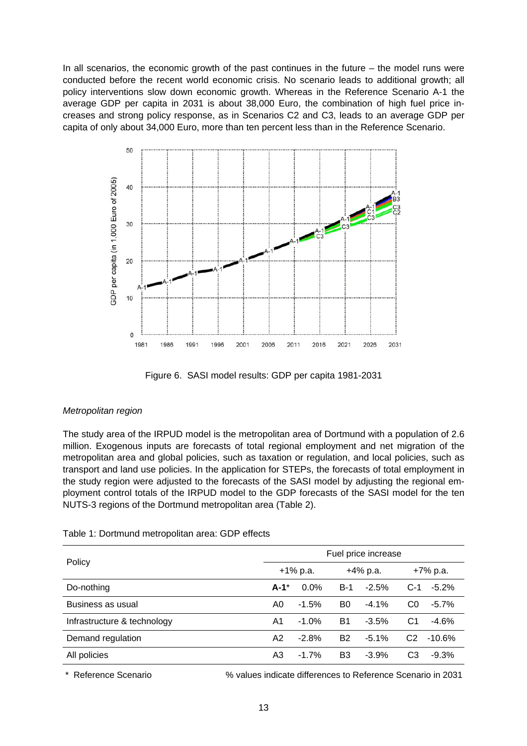In all scenarios, the economic growth of the past continues in the future  $-$  the model runs were conducted before the recent world economic crisis. No scenario leads to additional growth; all policy interventions slow down economic growth. Whereas in the Reference Scenario A-1 the average GDP per capita in 2031 is about 38,000 Euro, the combination of high fuel price increases and strong policy response, as in Scenarios C2 and C3, leads to an average GDP per capita of only about 34,000 Euro, more than ten percent less than in the Reference Scenario.



Figure 6. SASI model results: GDP per capita 1981-2031

# *Metropolitan region*

The study area of the IRPUD model is the metropolitan area of Dortmund with a population of 2.6 million. Exogenous inputs are forecasts of total regional employment and net migration of the metropolitan area and global policies, such as taxation or regulation, and local policies, such as transport and land use policies. In the application for STEPs, the forecasts of total employment in the study region were adjusted to the forecasts of the SASI model by adjusting the regional employment control totals of the IRPUD model to the GDP forecasts of the SASI model for the ten NUTS-3 regions of the Dortmund metropolitan area (Table 2).

| Policy                      | Fuel price increase |         |                |         |          |          |
|-----------------------------|---------------------|---------|----------------|---------|----------|----------|
|                             | +1% p.a.            |         | +4% p.a.       |         | +7% p.a. |          |
| Do-nothing                  | $A-1^*$             | $0.0\%$ | B-1            | $-2.5%$ | $C-1$    | $-5.2%$  |
| Business as usual           | A0                  | $-1.5%$ | B0             | $-4.1%$ | C0       | $-5.7%$  |
| Infrastructure & technology | A1                  | $-1.0%$ | B1             | $-3.5%$ | C1       | $-4.6%$  |
| Demand regulation           | A2                  | $-2.8%$ | B <sub>2</sub> | $-5.1%$ | C2       | $-10.6%$ |
| All policies                | A3                  | $-1.7%$ | B3             | $-3.9%$ | CЗ       | $-9.3%$  |

#### Table 1: Dortmund metropolitan area: GDP effects

\* Reference Scenario % values indicate differences to Reference Scenario in 2031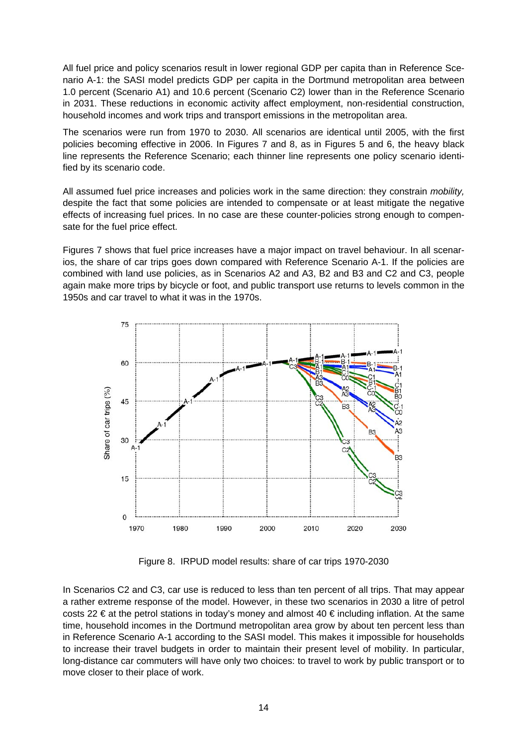All fuel price and policy scenarios result in lower regional GDP per capita than in Reference Scenario A-1: the SASI model predicts GDP per capita in the Dortmund metropolitan area between 1.0 percent (Scenario A1) and 10.6 percent (Scenario C2) lower than in the Reference Scenario in 2031. These reductions in economic activity affect employment, non-residential construction, household incomes and work trips and transport emissions in the metropolitan area.

The scenarios were run from 1970 to 2030. All scenarios are identical until 2005, with the first policies becoming effective in 2006. In Figures 7 and 8, as in Figures 5 and 6, the heavy black line represents the Reference Scenario; each thinner line represents one policy scenario identified by its scenario code.

All assumed fuel price increases and policies work in the same direction: they constrain *mobility,* despite the fact that some policies are intended to compensate or at least mitigate the negative effects of increasing fuel prices. In no case are these counter-policies strong enough to compensate for the fuel price effect.

Figures 7 shows that fuel price increases have a major impact on travel behaviour. In all scenarios, the share of car trips goes down compared with Reference Scenario A-1. If the policies are combined with land use policies, as in Scenarios A2 and A3, B2 and B3 and C2 and C3, people again make more trips by bicycle or foot, and public transport use returns to levels common in the 1950s and car travel to what it was in the 1970s.



Figure 8. IRPUD model results: share of car trips 1970-2030

In Scenarios C2 and C3, car use is reduced to less than ten percent of all trips. That may appear a rather extreme response of the model. However, in these two scenarios in 2030 a litre of petrol costs 22 € at the petrol stations in today's money and almost 40 € including inflation. At the same time, household incomes in the Dortmund metropolitan area grow by about ten percent less than in Reference Scenario A-1 according to the SASI model. This makes it impossible for households to increase their travel budgets in order to maintain their present level of mobility. In particular, long-distance car commuters will have only two choices: to travel to work by public transport or to move closer to their place of work.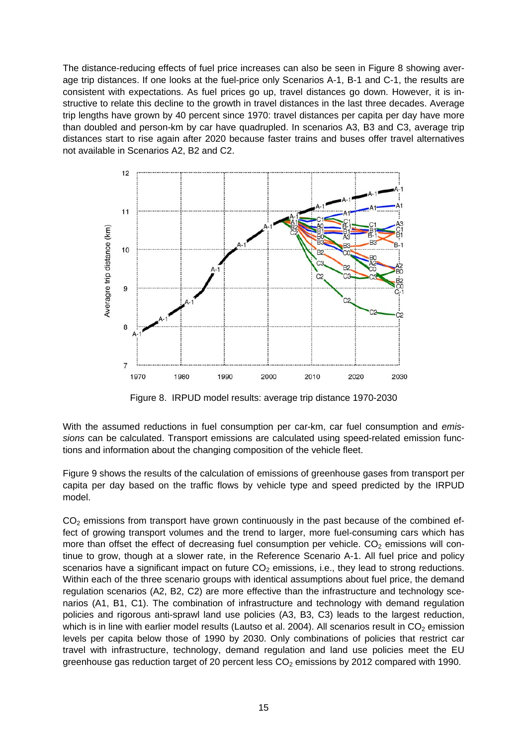The distance-reducing effects of fuel price increases can also be seen in Figure 8 showing average trip distances. If one looks at the fuel-price only Scenarios A-1, B-1 and C-1, the results are consistent with expectations. As fuel prices go up, travel distances go down. However, it is instructive to relate this decline to the growth in travel distances in the last three decades. Average trip lengths have grown by 40 percent since 1970: travel distances per capita per day have more than doubled and person-km by car have quadrupled. In scenarios A3, B3 and C3, average trip distances start to rise again after 2020 because faster trains and buses offer travel alternatives not available in Scenarios A2, B2 and C2.



Figure 8. IRPUD model results: average trip distance 1970-2030

With the assumed reductions in fuel consumption per car-km, car fuel consumption and *emissions* can be calculated. Transport emissions are calculated using speed-related emission functions and information about the changing composition of the vehicle fleet.

Figure 9 shows the results of the calculation of emissions of greenhouse gases from transport per capita per day based on the traffic flows by vehicle type and speed predicted by the IRPUD model.

 $CO<sub>2</sub>$  emissions from transport have grown continuously in the past because of the combined effect of growing transport volumes and the trend to larger, more fuel-consuming cars which has more than offset the effect of decreasing fuel consumption per vehicle.  $CO<sub>2</sub>$  emissions will continue to grow, though at a slower rate, in the Reference Scenario A-1. All fuel price and policy scenarios have a significant impact on future  $CO<sub>2</sub>$  emissions, i.e., they lead to strong reductions. Within each of the three scenario groups with identical assumptions about fuel price, the demand regulation scenarios (A2, B2, C2) are more effective than the infrastructure and technology scenarios (A1, B1, C1). The combination of infrastructure and technology with demand regulation policies and rigorous anti-sprawl land use policies (A3, B3, C3) leads to the largest reduction, which is in line with earlier model results (Lautso et al. 2004). All scenarios result in  $CO<sub>2</sub>$  emission levels per capita below those of 1990 by 2030. Only combinations of policies that restrict car travel with infrastructure, technology, demand regulation and land use policies meet the EU greenhouse gas reduction target of 20 percent less  $CO<sub>2</sub>$  emissions by 2012 compared with 1990.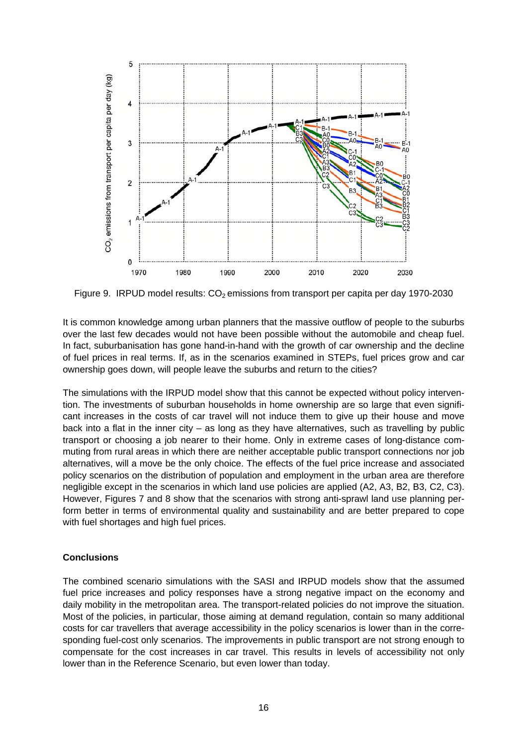

Figure 9. IRPUD model results:  $CO<sub>2</sub>$  emissions from transport per capita per day 1970-2030

It is common knowledge among urban planners that the massive outflow of people to the suburbs over the last few decades would not have been possible without the automobile and cheap fuel. In fact, suburbanisation has gone hand-in-hand with the growth of car ownership and the decline of fuel prices in real terms. If, as in the scenarios examined in STEPs, fuel prices grow and car ownership goes down, will people leave the suburbs and return to the cities?

The simulations with the IRPUD model show that this cannot be expected without policy intervention. The investments of suburban households in home ownership are so large that even significant increases in the costs of car travel will not induce them to give up their house and move back into a flat in the inner city – as long as they have alternatives, such as travelling by public transport or choosing a job nearer to their home. Only in extreme cases of long-distance commuting from rural areas in which there are neither acceptable public transport connections nor job alternatives, will a move be the only choice. The effects of the fuel price increase and associated policy scenarios on the distribution of population and employment in the urban area are therefore negligible except in the scenarios in which land use policies are applied (A2, A3, B2, B3, C2, C3). However, Figures 7 and 8 show that the scenarios with strong anti-sprawl land use planning perform better in terms of environmental quality and sustainability and are better prepared to cope with fuel shortages and high fuel prices.

# **Conclusions**

The combined scenario simulations with the SASI and IRPUD models show that the assumed fuel price increases and policy responses have a strong negative impact on the economy and daily mobility in the metropolitan area. The transport-related policies do not improve the situation. Most of the policies, in particular, those aiming at demand regulation, contain so many additional costs for car travellers that average accessibility in the policy scenarios is lower than in the corresponding fuel-cost only scenarios. The improvements in public transport are not strong enough to compensate for the cost increases in car travel. This results in levels of accessibility not only lower than in the Reference Scenario, but even lower than today.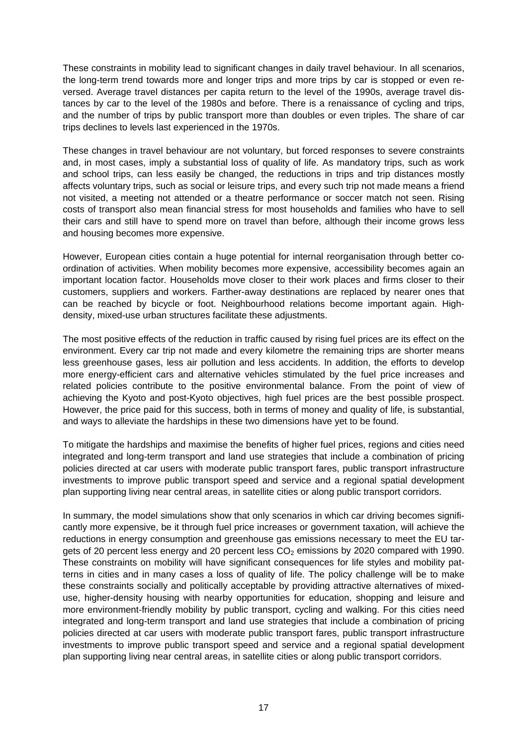These constraints in mobility lead to significant changes in daily travel behaviour. In all scenarios, the long-term trend towards more and longer trips and more trips by car is stopped or even reversed. Average travel distances per capita return to the level of the 1990s, average travel distances by car to the level of the 1980s and before. There is a renaissance of cycling and trips, and the number of trips by public transport more than doubles or even triples. The share of car trips declines to levels last experienced in the 1970s.

These changes in travel behaviour are not voluntary, but forced responses to severe constraints and, in most cases, imply a substantial loss of quality of life. As mandatory trips, such as work and school trips, can less easily be changed, the reductions in trips and trip distances mostly affects voluntary trips, such as social or leisure trips, and every such trip not made means a friend not visited, a meeting not attended or a theatre performance or soccer match not seen. Rising costs of transport also mean financial stress for most households and families who have to sell their cars and still have to spend more on travel than before, although their income grows less and housing becomes more expensive.

However, European cities contain a huge potential for internal reorganisation through better coordination of activities. When mobility becomes more expensive, accessibility becomes again an important location factor. Households move closer to their work places and firms closer to their customers, suppliers and workers. Farther-away destinations are replaced by nearer ones that can be reached by bicycle or foot. Neighbourhood relations become important again. Highdensity, mixed-use urban structures facilitate these adjustments.

The most positive effects of the reduction in traffic caused by rising fuel prices are its effect on the environment. Every car trip not made and every kilometre the remaining trips are shorter means less greenhouse gases, less air pollution and less accidents. In addition, the efforts to develop more energy-efficient cars and alternative vehicles stimulated by the fuel price increases and related policies contribute to the positive environmental balance. From the point of view of achieving the Kyoto and post-Kyoto objectives, high fuel prices are the best possible prospect. However, the price paid for this success, both in terms of money and quality of life, is substantial, and ways to alleviate the hardships in these two dimensions have yet to be found.

To mitigate the hardships and maximise the benefits of higher fuel prices, regions and cities need integrated and long-term transport and land use strategies that include a combination of pricing policies directed at car users with moderate public transport fares, public transport infrastructure investments to improve public transport speed and service and a regional spatial development plan supporting living near central areas, in satellite cities or along public transport corridors.

In summary, the model simulations show that only scenarios in which car driving becomes significantly more expensive, be it through fuel price increases or government taxation, will achieve the reductions in energy consumption and greenhouse gas emissions necessary to meet the EU targets of 20 percent less energy and 20 percent less  $CO<sub>2</sub>$  emissions by 2020 compared with 1990. These constraints on mobility will have significant consequences for life styles and mobility patterns in cities and in many cases a loss of quality of life. The policy challenge will be to make these constraints socially and politically acceptable by providing attractive alternatives of mixeduse, higher-density housing with nearby opportunities for education, shopping and leisure and more environment-friendly mobility by public transport, cycling and walking. For this cities need integrated and long-term transport and land use strategies that include a combination of pricing policies directed at car users with moderate public transport fares, public transport infrastructure investments to improve public transport speed and service and a regional spatial development plan supporting living near central areas, in satellite cities or along public transport corridors.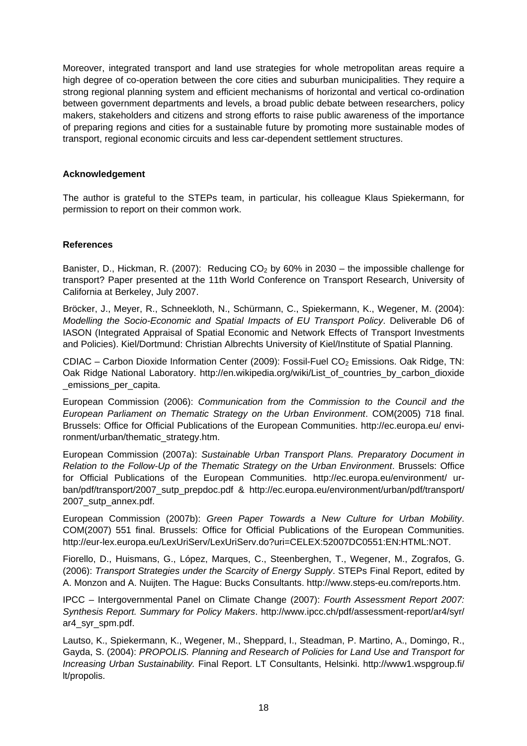Moreover, integrated transport and land use strategies for whole metropolitan areas require a high degree of co-operation between the core cities and suburban municipalities. They require a strong regional planning system and efficient mechanisms of horizontal and vertical co-ordination between government departments and levels, a broad public debate between researchers, policy makers, stakeholders and citizens and strong efforts to raise public awareness of the importance of preparing regions and cities for a sustainable future by promoting more sustainable modes of transport, regional economic circuits and less car-dependent settlement structures.

### **Acknowledgement**

The author is grateful to the STEPs team, in particular, his colleague Klaus Spiekermann, for permission to report on their common work.

### **References**

Banister, D., Hickman, R. (2007): Reducing  $CO<sub>2</sub>$  by 60% in 2030 – the impossible challenge for transport? Paper presented at the 11th World Conference on Transport Research, University of California at Berkeley, July 2007.

Bröcker, J., Meyer, R., Schneekloth, N., Schürmann, C., Spiekermann, K., Wegener, M. (2004): *Modelling the Socio-Economic and Spatial Impacts of EU Transport Policy*. Deliverable D6 of IASON (Integrated Appraisal of Spatial Economic and Network Effects of Transport Investments and Policies). Kiel/Dortmund: Christian Albrechts University of Kiel/Institute of Spatial Planning.

CDIAC – Carbon Dioxide Information Center (2009): Fossil-Fuel  $CO<sub>2</sub>$  Emissions. Oak Ridge, TN: Oak Ridge National Laboratory. http://en.wikipedia.org/wiki/List\_of\_countries\_by\_carbon\_dioxide emissions per capita.

European Commission (2006): *Communication from the Commission to the Council and the European Parliament on Thematic Strategy on the Urban Environment*. COM(2005) 718 final. Brussels: Office for Official Publications of the European Communities. http://ec.europa.eu/ environment/urban/thematic\_strategy.htm.

European Commission (2007a): *Sustainable Urban Transport Plans. Preparatory Document in Relation to the Follow-Up of the Thematic Strategy on the Urban Environment*. Brussels: Office for Official Publications of the European Communities. http://ec.europa.eu/environment/ urban/pdf/transport/2007\_sutp\_prepdoc.pdf & http://ec.europa.eu/environment/urban/pdf/transport/ 2007\_sutp\_annex.pdf.

European Commission (2007b): *Green Paper Towards a New Culture for Urban Mobility*. COM(2007) 551 final. Brussels: Office for Official Publications of the European Communities. http://eur-lex.europa.eu/LexUriServ/LexUriServ.do?uri=CELEX:52007DC0551:EN:HTML:NOT.

Fiorello, D., Huismans, G., López, Marques, C., Steenberghen, T., Wegener, M., Zografos, G. (2006): *Transport Strategies under the Scarcity of Energy Supply*. STEPs Final Report, edited by A. Monzon and A. Nuijten. The Hague: Bucks Consultants. http://www.steps-eu.com/reports.htm.

IPCC – Intergovernmental Panel on Climate Change (2007): *Fourth Assessment Report 2007: Synthesis Report. Summary for Policy Makers*. http://www.ipcc.ch/pdf/assessment-report/ar4/syr/ ar4\_syr\_spm.pdf.

Lautso, K., Spiekermann, K., Wegener, M., Sheppard, I., Steadman, P. Martino, A., Domingo, R., Gayda, S. (2004): *PROPOLIS. Planning and Research of Policies for Land Use and Transport for Increasing Urban Sustainability.* Final Report. LT Consultants, Helsinki. http://www1.wspgroup.fi/ lt/propolis.